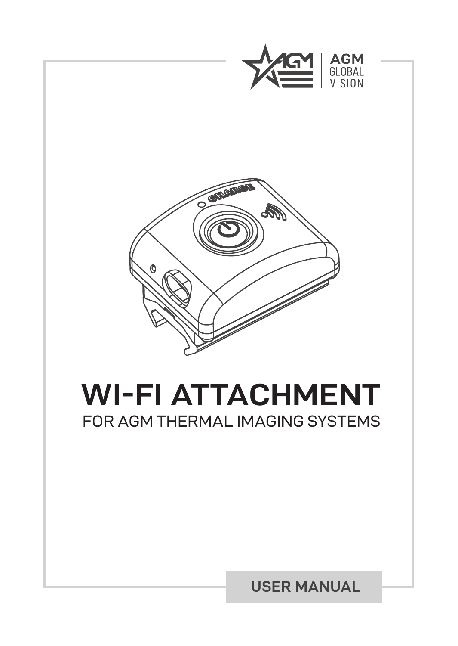



# **WI-FI ATTACHMENT** FOR AGM THERMAL IMAGING SYSTEMS

### **USER MANUAL**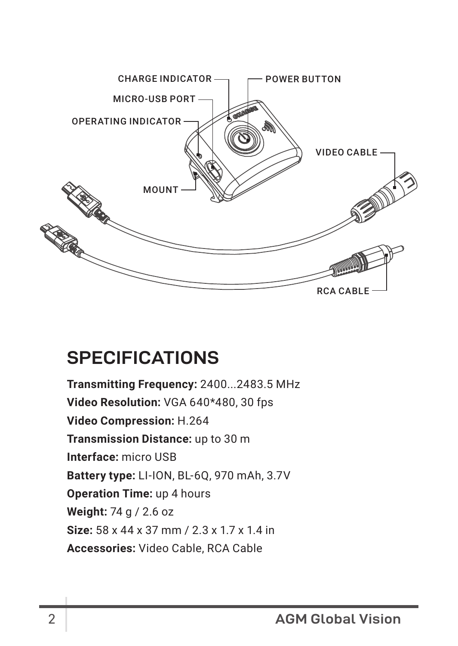

## **SPECIFICATIONS**

**Transmitting Frequency:** 2400...2483.5 MHz **Video Resolution:** VGA 640\*480, 30 fps **Video Compression:** H.264 **Transmission Distance:** up to 30 m **Interface:** micro USB **Battery type:** LI-ION, BL-6Q, 970 mAh, 3.7V **Operation Time:** up 4 hours **Weight:** 74 g / 2.6 oz **Size:** 58 x 44 x 37 mm / 2.3 x 1.7 x 1.4 in **Accessories:** Video Cable, RCA Cable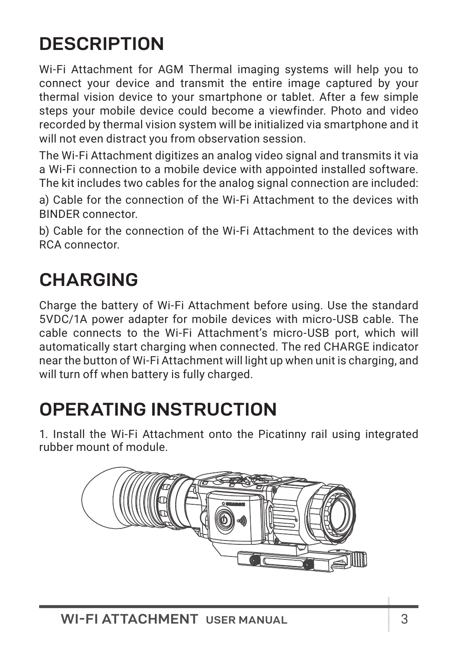## **DESCRIPTION**

Wi-Fi Attachment for AGM Thermal imaging systems will help you to connect your device and transmit the entire image captured by your thermal vision device to your smartphone or tablet. After a few simple steps your mobile device could become a viewfinder. Photo and video recorded by thermal vision system will be initialized via smartphone and it will not even distract you from observation session.

The Wi-Fi Attachment digitizes an analog video signal and transmits it via a Wi-Fi connection to a mobile device with appointed installed software. The kit includes two cables for the analog signal connection are included:

a) Cable for the connection of the Wi-Fi Attachment to the devices with BINDER connector.

b) Cable for the connection of the Wi-Fi Attachment to the devices with RCA connector.

## **CHARGING**

Charge the battery of Wi-Fi Attachment before using. Use the standard 5VDC/1A power adapter for mobile devices with micro-USB cable. The cable connects to the Wi-Fi Attachment's micro-USB port, which will automatically start charging when connected. The red CHARGE indicator near the button of Wi-Fi Attachment will light up when unit is charging, and will turn off when battery is fully charged.

## **OPERATING INSTRUCTION**

1. Install the Wi-Fi Attachment onto the Picatinny rail using integrated rubber mount of module.

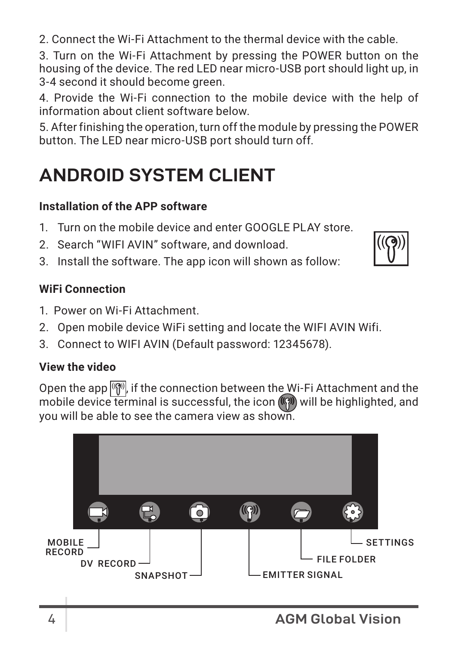2. Connect the Wi-Fi Attachment to the thermal device with the cable.

3. Turn on the Wi-Fi Attachment by pressing the POWER button on the housing of the device. The red LED near micro-USB port should light up, in 3-4 second it should become green.

4. Provide the Wi-Fi connection to the mobile device with the help of information about client software below.

5. After finishing the operation, turn off the module by pressing the POWER button. The LED near micro-USB port should turn off.

## **ANDROID SYSTEM CLIENT**

### **Installation of the APP software**

- 1. Turn on the mobile device and enter GOOGLE PLAY store.
- 2. Search "WIFI AVIN" software, and download.
- 3. Install the software. The app icon will shown as follow:

### **WiFi Connection**

- 1. Power on Wi-Fi Attachment.
- 2. Open mobile device WiFi setting and locate the WIFI AVIN Wifi.
- 3. Connect to WIFI AVIN (Default password: 12345678).

### **View the video**

Open the app  $\sqrt{\binom{n}{n}}$ , if the connection between the Wi-Fi Attachment and the mobile device terminal is successful, the icon ( $\binom{m}{2}$  will be highlighted, and you will be able to see the camera view as shown.

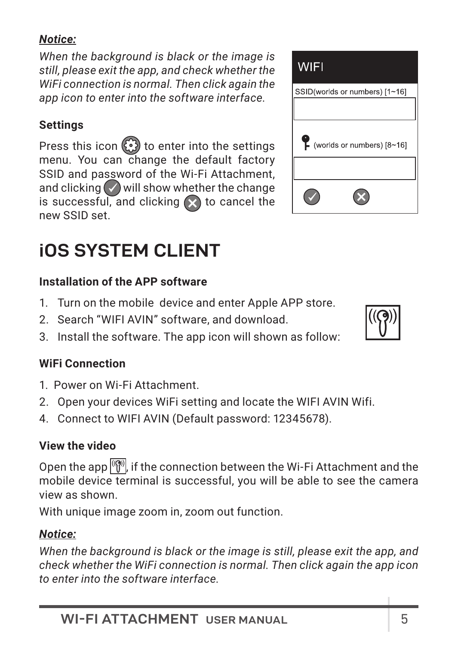### *Notice:*

*When the background is black or the image is still, please exit the app, and check whether the WiFi connection is normal. Then click again the app icon to enter into the software interface.*

### **Settings**

Press this icon  $\odot$  to enter into the settings menu. You can change the default factory SSID and password of the Wi-Fi Attachment. and clicking  $\bigcirc$  will show whether the change is successful, and clicking  $\Omega$  to cancel the new SSID set.

# **iOS SYSTEM CLIENT**

### **Installation of the APP software**

- 1. Turn on the mobile device and enter Apple APP store.
- 2. Search "WIFI AVIN" software, and download.
- 3. Install the software. The app icon will shown as follow:

### **WiFi Connection**

- 1. Power on Wi-Fi Attachment.
- 2. Open your devices WiFi setting and locate the WIFI AVIN Wifi.
- 4. Connect to WIFI AVIN (Default password: 12345678).

### **View the video**

Open the app  $\binom{[69]}{1}$  if the connection between the Wi-Fi Attachment and the mobile device terminal is successful, you will be able to see the camera view as shown.

With unique image zoom in, zoom out function.

### *Notice:*

*When the background is black or the image is still, please exit the app, and check whether the WiFi connection is normal. Then click again the app icon to enter into the software interface.*



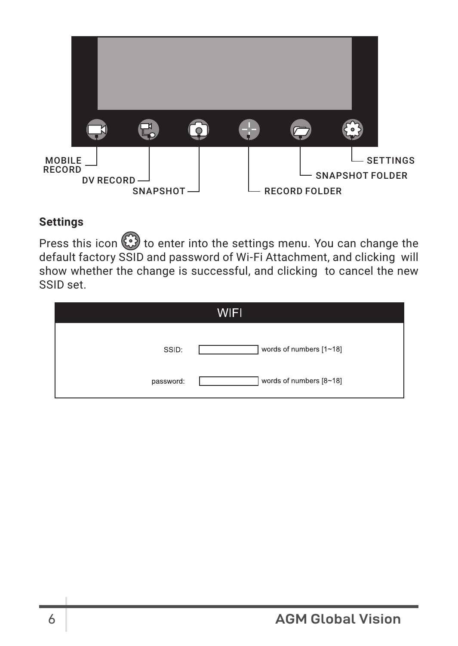

### **Settings**

Press this icon  $\bigcirc$  to enter into the settings menu. You can change the default factory SSID and password of Wi-Fi Attachment, and clicking will show whether the change is successful, and clicking to cancel the new SSID set.

| WIFI      |                         |
|-----------|-------------------------|
| SSID:     | words of numbers [1~18] |
| password: | words of numbers [8~18] |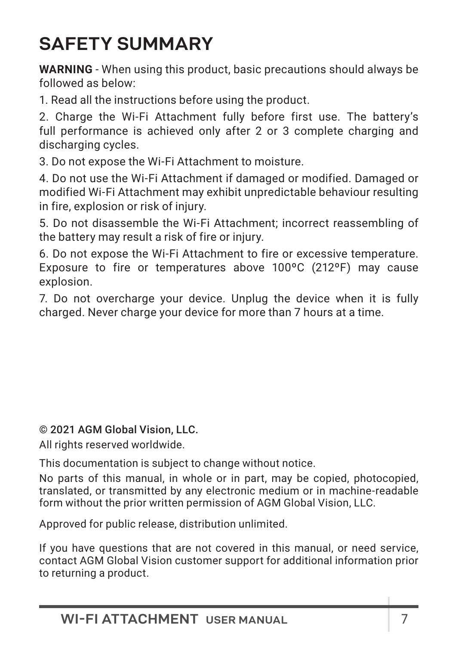## **SAFETY SUMMARY**

**WARNING** - When using this product, basic precautions should always be followed as below:

1. Read all the instructions before using the product.

2. Charge the Wi-Fi Attachment fully before first use. The battery's full performance is achieved only after 2 or 3 complete charging and discharging cycles.

3. Do not expose the Wi-Fi Attachment to moisture.

4. Do not use the Wi-Fi Attachment if damaged or modified. Damaged or modified Wi-Fi Attachment may exhibit unpredictable behaviour resulting in fire, explosion or risk of injury.

5. Do not disassemble the Wi-Fi Attachment; incorrect reassembling of the battery may result a risk of fire or injury.

6. Do not expose the Wi-Fi Attachment to fire or excessive temperature. Exposure to fire or temperatures above 100ºC (212ºF) may cause explosion.

7. Do not overcharge your device. Unplug the device when it is fully charged. Never charge your device for more than 7 hours at a time.

© 2021 AGM Global Vision, LLC.

All rights reserved worldwide.

This documentation is subject to change without notice.

No parts of this manual, in whole or in part, may be copied, photocopied, translated, or transmitted by any electronic medium or in machine-readable form without the prior written permission of AGM Global Vision, LLC.

Approved for public release, distribution unlimited.

If you have questions that are not covered in this manual, or need service, contact AGM Global Vision customer support for additional information prior to returning a product.